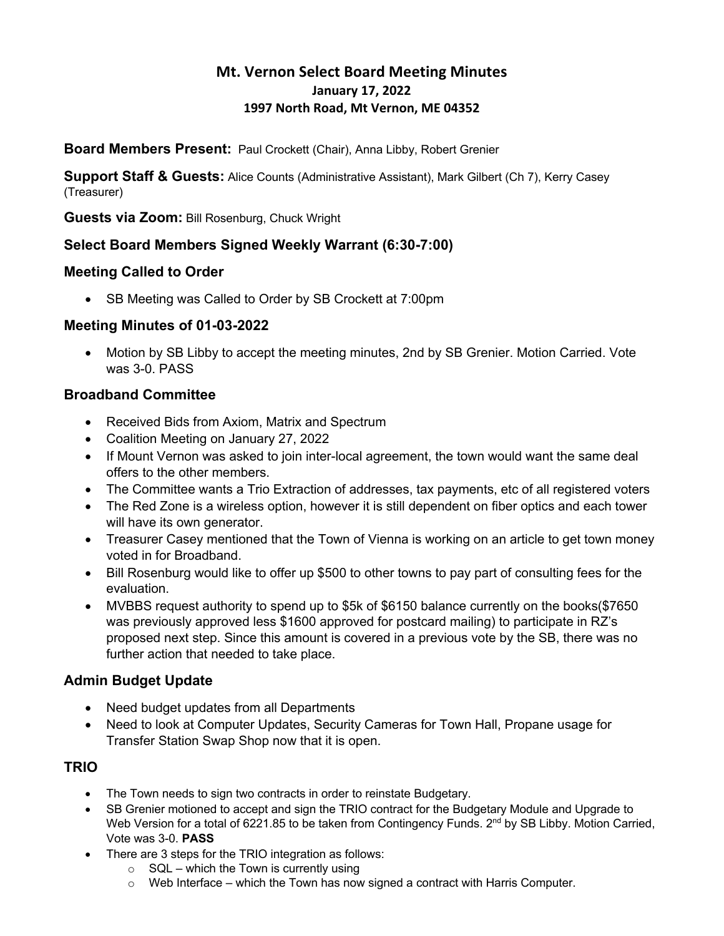# **Mt. Vernon Select Board Meeting Minutes January 17, 2022 1997 North Road, Mt Vernon, ME 04352**

**Board Members Present:** Paul Crockett (Chair), Anna Libby, Robert Grenier

**Support Staff & Guests:** Alice Counts (Administrative Assistant), Mark Gilbert (Ch 7), Kerry Casey (Treasurer)

**Guests via Zoom:** Bill Rosenburg, Chuck Wright

## **Select Board Members Signed Weekly Warrant (6:30-7:00)**

### **Meeting Called to Order**

• SB Meeting was Called to Order by SB Crockett at 7:00pm

### **Meeting Minutes of 01-03-2022**

• Motion by SB Libby to accept the meeting minutes, 2nd by SB Grenier. Motion Carried. Vote was 3-0. PASS

## **Broadband Committee**

- Received Bids from Axiom, Matrix and Spectrum
- Coalition Meeting on January 27, 2022
- If Mount Vernon was asked to join inter-local agreement, the town would want the same deal offers to the other members.
- The Committee wants a Trio Extraction of addresses, tax payments, etc of all registered voters
- The Red Zone is a wireless option, however it is still dependent on fiber optics and each tower will have its own generator.
- Treasurer Casey mentioned that the Town of Vienna is working on an article to get town money voted in for Broadband.
- Bill Rosenburg would like to offer up \$500 to other towns to pay part of consulting fees for the evaluation.
- MVBBS request authority to spend up to \$5k of \$6150 balance currently on the books(\$7650 was previously approved less \$1600 approved for postcard mailing) to participate in RZ's proposed next step. Since this amount is covered in a previous vote by the SB, there was no further action that needed to take place.

### **Admin Budget Update**

- Need budget updates from all Departments
- Need to look at Computer Updates, Security Cameras for Town Hall, Propane usage for Transfer Station Swap Shop now that it is open.

### **TRIO**

- The Town needs to sign two contracts in order to reinstate Budgetary.
- SB Grenier motioned to accept and sign the TRIO contract for the Budgetary Module and Upgrade to Web Version for a total of 6221.85 to be taken from Contingency Funds. 2<sup>nd</sup> by SB Libby. Motion Carried, Vote was 3-0. **PASS**
- There are 3 steps for the TRIO integration as follows:
	- $\circ$  SQL which the Town is currently using
	- $\circ$  Web Interface which the Town has now signed a contract with Harris Computer.